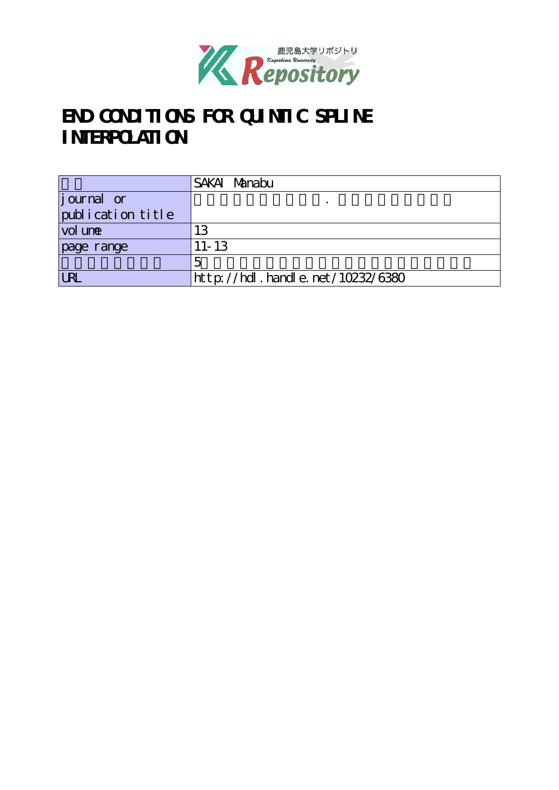

# **END CONDITIONS FOR QUINTIC SPLINE INTERPOLATION**

|                    | SAKAI Manabu                     |  |
|--------------------|----------------------------------|--|
| <i>j</i> ournal or |                                  |  |
| publication title  |                                  |  |
| vol une            | 13                               |  |
| page range         | $11 - 13$                        |  |
|                    |                                  |  |
| IR                 | http://hdl.handle.net/10232/6380 |  |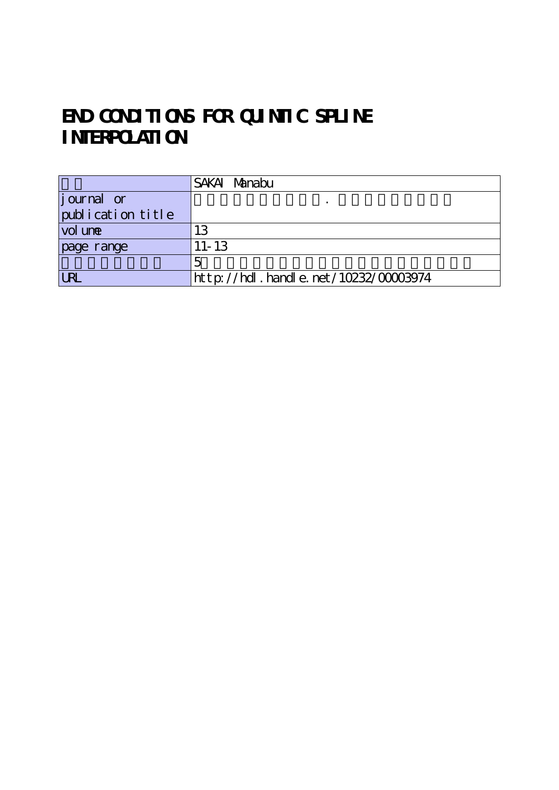## **END CONDITIONS FOR QUINTIC SPLINE INTERPOLATION**

|                    | SAKAI Manabu                              |  |
|--------------------|-------------------------------------------|--|
| <i>j</i> ournal or |                                           |  |
| publication title  |                                           |  |
| vol une            | 13                                        |  |
| page range         | $11 - 13$                                 |  |
|                    |                                           |  |
| <b>LRL</b>         | $http$ ://hdl. handle. net/10232/00003974 |  |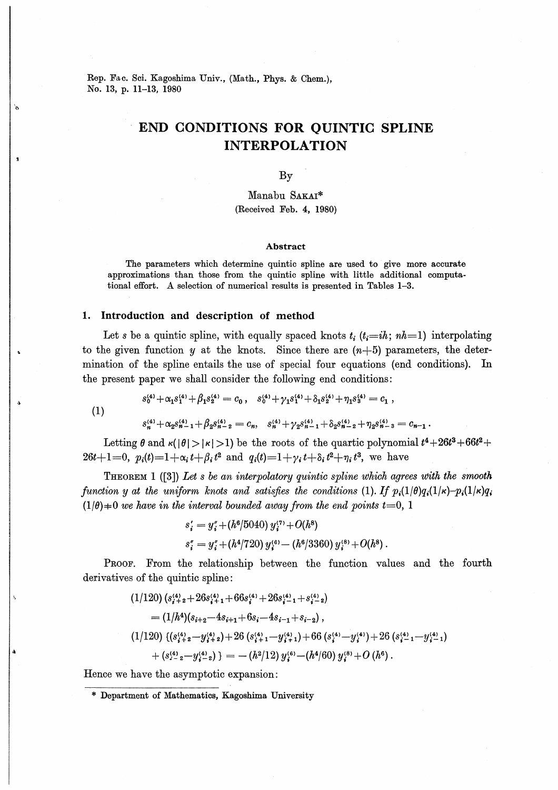Rep. Fae. Sci. Kagoshima Univ., (Math., Phys. & Chem.), No. 13, p. 11-13, 1980

### END CONDITIONS FOR OUINTIG SPLINE INTERPOLATION

By

Manabu SAKAI\* (Received Feb. 4, 1980)

#### Abstract

The parameters which determine quintic spline are used to give more accurate approximations than those from the quintic spline with little additional computational effort. A selection of numerical results is presented in Tables 1-3.

### 1. Introduction and description of method

Let s be a quintic spline, with equally spaced knots  $t_i$  ( $t_i=ih$ ;  $nh=1$ ) interpolating to the given function y at the knots. Since there are  $(n+5)$  parameters, the determination of the spline entails the use of special four equations (end conditions). the present paper we shall consider the following end conditions:

(1)

$$
s_n^{\scriptscriptstyle (4)}+\alpha_2s_{n-1}^{\scriptscriptstyle (4)}+\beta_2s_{n-2}^{\scriptscriptstyle (4)}=c_n,\ \ s_n^{\scriptscriptstyle (4)}+\gamma_2s_{n-1}^{\scriptscriptstyle (4)}+\delta_2s_{n-2}^{\scriptscriptstyle (4)}+\eta_2s_{n-3}^{\scriptscriptstyle (4)}=c_{n-1}\,.
$$

 $s_0^{(4)} + \alpha_1 s_1^{(4)} + \beta_1 s_2^{(4)} = c_0$ ,  $s_0^{(4)} + \gamma_1 s_1^{(4)} + \delta_1 s_2^{(4)} + \eta_1 s_3^{(4)} = c_1$ ,

Letting  $\theta$  and  $\kappa(|\theta| > |\kappa| > 1)$  be the roots of the quartic polynomial  $t^4 + 26t^3 + 66t^2 +$  $26t+1=0$ ,  $p_i(t)=1+\alpha_i t+\beta_i t^2$  and  $q_i(t)=1+\gamma_i t+\delta_i t^2+\eta_i t^3$ , we have

THEOREM 1  $([3])$  Let s be an interpolatory quintic spline which agrees with the smooth function y at the uniform knots and satisfies the conditions (1). If  $p_i(1/\theta)q_i(1/\kappa)-p_i(1/\kappa)q_i$  $(1/\theta) \neq 0$  we have in the interval bounded away from the end points  $t=0, 1$ 

$$
s'_{i} = y''_{i} + (h^{6}/5040) y''_{i} + O(h^{8})
$$
  

$$
s''_{i} = y''_{i} + (h^{4}/720) y'^{6}_{i} - (h^{6}/3360) y'^{8}_{i} + O(h^{8}).
$$

PROOF. From the relationship between the function values and the fourth derivatives of the quintic spline:

$$
(1/120) (s_{i+2}^{(4)} + 26s_{i+1}^{(4)} + 66s_{i}^{(4)} + 26s_{i-1}^{(4)} + s_{i-2}^{(4)})
$$
  
=  $(1/h^4)(s_{i+2} - 4s_{i+1} + 6s_i - 4s_{i-1} + s_{i-2}),$   
 $(1/120) \{ (s_{i+2}^{(4)} - y_{i+2}^{(4)}) + 26 (s_{i+1}^{(4)} - y_{i+1}^{(4)}) + 66 (s_i^{(4)} - y_i^{(4)}) + 26 (s_{i-1}^{(4)} - y_{i-1}^{(4)})$   
+  $(s_{i-2}^{(4)} - y_{i-2}^{(4)}) = -(h^2/12) y_i^{(6)} - (h^4/60) y_i^{(8)} + O(h^6).$ 

Hence we have the asymptotic expansion:

<sup>\*</sup> Department of Mathematics, Kagoshima University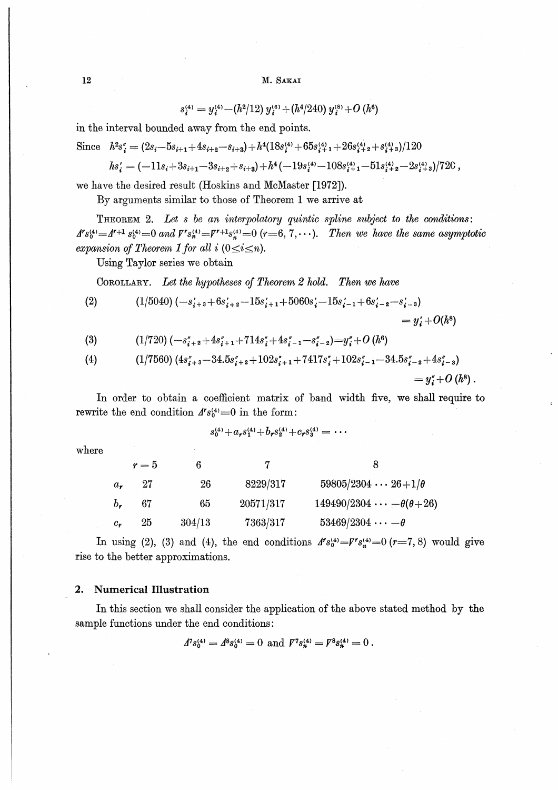$$
s_i^{(4)} = y_i^{(4)} - (h^2/12) y_i^{(6)} + (h^4/240) y_i^{(8)} + O(h^6)
$$

in the interval bounded away from the end points.

Since 
$$
h^2s_i'' = (2s_i - 5s_{i+1} + 4s_{i+2} - s_{i+3}) + h^4(18s_i^{(4)} + 65s_{i+1}^{(4)} + 26s_{i+2}^{(4)} + s_{i+3}^{(4)})/120
$$

$$
hs_i' = (-11s_i + 3s_{i+1} - 3s_{i+2} + s_{i+3}) + h^4(-19s_i'^4 - 108s_{i+1}'^4 - 51s_{i+2}'^4 - 2s_{i+3}'^4)/720,
$$

we have the desired result (Hoskins and McMaster [1972]).

By arguments similar to those of Theorem 1 we arrive at

THEOREM 2. Let s be an interpolatory quintic spline subject to the conditions:  $A^r s_0^{(4)} = A^{r+1} s_0^{(4)} = 0$  and  $V^r s_n^{(4)} = V^{r+1} s_n^{(4)} = 0$  (r=6, 7, ...). Then we have the same asymptotic expansion of Theorem 1 for all i  $(0 \le i \le n)$ .

Using Taylor series we obtain

COROLLARY. Let the hypotheses of Theorem 2 hold. Then we have

(2) 
$$
(1/5040) (-s'_{i+3}+6s'_{i+2}-15s'_{i+1}+5060s'_{i}-15s'_{i-1}+6s'_{i-2}-s'_{i-3})
$$

$$
= y'_{i} + O(h^{8})
$$

$$
(3) \qquad (1/720)\,(-s''_{i+2}+4s''_{i+1}+714s''_i+4s''_{i-1}-s''_{i-2})=y''_i+O\,(h^6)
$$

(4) 
$$
(1/7560) (4s''_{i+3}-34.5s''_{i+2}+102s''_{i+1}+7417s''_i+102s''_{i-1}-34.5s''_{i-2}+4s''_{i-3})
$$

$$
= y''_i + O(h^8).
$$

In order to obtain a coefficient matrix of band width five, we shall require to rewrite the end condition  $A^r s_0^{(4)} = 0$  in the form:

$$
s_0^{(4)} + a_r s_1^{(4)} + b_r s_2^{(4)} + c_r s_3^{(4)} = \cdots
$$

where

|               | $r=5$ |        |           |                                         |
|---------------|-------|--------|-----------|-----------------------------------------|
| $a_{\bullet}$ | 27    | 26     | 8229/317  | $59805/2304 \cdots 26+1/\theta$         |
| $b_{\rm r}$   | 67    | 65     | 20571/317 | $149490/2304 \cdots -\theta(\theta+26)$ |
| $c_{r}$       | 25    | 304/13 | 7363/317  | $53469/2304 \cdots -\theta$             |

In using (2), (3) and (4), the end conditions  $A^r s_0^{(4)} = V^r s_0^{(4)} = 0$  (r=7, 8) would give rise to the better approximations.

#### **Numerical Illustration**  $2.$

In this section we shall consider the application of the above stated method by the sample functions under the end conditions:

$$
A^{7} s_0^{(4)} = A^{8} s_0^{(4)} = 0 \text{ and } F^{7} s_n^{(4)} = F^{8} s_n^{(4)} = 0.
$$

12